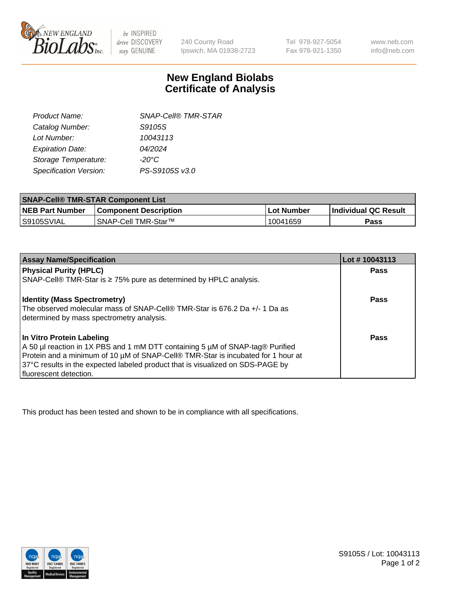

 $be$  INSPIRED drive DISCOVERY stay GENUINE

240 County Road Ipswich, MA 01938-2723 Tel 978-927-5054 Fax 978-921-1350

www.neb.com info@neb.com

## **New England Biolabs Certificate of Analysis**

| <b>SNAP-Cell® TMR-STAR</b> |
|----------------------------|
| S9105S                     |
| 10043113                   |
| 04/2024                    |
| $-20^{\circ}$ C            |
| PS-S9105S v3.0             |
|                            |

| <b>SNAP-Cell® TMR-STAR Component List</b> |                              |            |                             |  |
|-------------------------------------------|------------------------------|------------|-----------------------------|--|
| <b>NEB Part Number</b>                    | <b>Component Description</b> | Lot Number | <b>Individual QC Result</b> |  |
| IS9105SVIAL                               | SNAP-Cell TMR-Star™          | 10041659   | Pass                        |  |

| <b>Assay Name/Specification</b>                                                                                                                                                                                                                                                                              | Lot #10043113 |
|--------------------------------------------------------------------------------------------------------------------------------------------------------------------------------------------------------------------------------------------------------------------------------------------------------------|---------------|
| <b>Physical Purity (HPLC)</b>                                                                                                                                                                                                                                                                                | Pass          |
| SNAP-Cell® TMR-Star is ≥ 75% pure as determined by HPLC analysis.                                                                                                                                                                                                                                            |               |
| <b>Identity (Mass Spectrometry)</b><br>The observed molecular mass of SNAP-Cell® TMR-Star is 676.2 Da +/- 1 Da as<br>determined by mass spectrometry analysis.                                                                                                                                               | Pass          |
| In Vitro Protein Labeling<br>A 50 µl reaction in 1X PBS and 1 mM DTT containing 5 µM of SNAP-tag® Purified<br>Protein and a minimum of 10 µM of SNAP-Cell® TMR-Star is incubated for 1 hour at<br>37°C results in the expected labeled product that is visualized on SDS-PAGE by<br>I fluorescent detection. | Pass          |

This product has been tested and shown to be in compliance with all specifications.